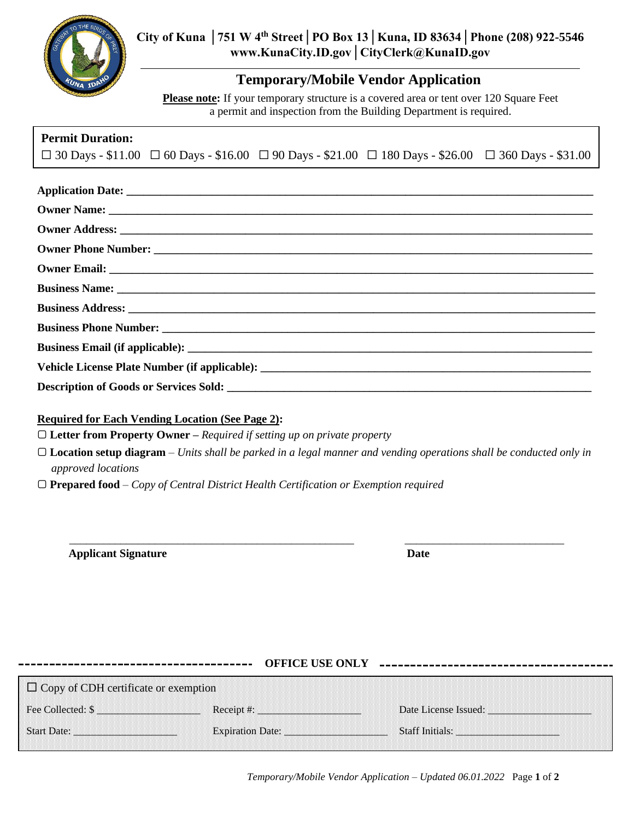

## **Temporary/Mobile Vendor Application**

**Please note:** If your temporary structure is a covered area or tent over 120 Square Feet a permit and inspection from the Building Department is required.

| <b>Permit Duration:</b> |  |                                                                                                                                |  |
|-------------------------|--|--------------------------------------------------------------------------------------------------------------------------------|--|
|                         |  | $\Box$ 30 Days - \$11.00 $\Box$ 60 Days - \$16.00 $\Box$ 90 Days - \$21.00 $\Box$ 180 Days - \$26.00 $\Box$ 360 Days - \$31.00 |  |

## **Required for Each Vending Location (See Page 2):**

▢ **Letter from Property Owner –** *Required if setting up on private property*

▢ **Location setup diagram** – *Units shall be parked in a legal manner and vending operations shall be conducted only in approved locations*

\_\_\_\_\_\_\_\_\_\_\_\_\_\_\_\_\_\_\_\_\_\_\_\_\_\_\_\_\_\_\_\_\_\_\_\_\_\_\_\_\_\_\_\_\_\_\_\_\_\_ \_\_\_\_\_\_\_\_\_\_\_\_\_\_\_\_\_\_\_\_\_\_\_\_\_\_\_\_

▢ **Prepared food** – *Copy of Central District Health Certification or Exemption required*

**Applicant Signature Date**

|                                                   | <b>OFFICE USE ONLY</b> |                                             |  |  |  |  |  |
|---------------------------------------------------|------------------------|---------------------------------------------|--|--|--|--|--|
| $\Box$ Copy of CDH certificate or exemption       |                        |                                             |  |  |  |  |  |
| Fee Collected: \$<br>8888888888888888888888888888 | Receipt #:             | Date License Issued:                        |  |  |  |  |  |
| <b>Start Date:</b>                                | Expiration Date:       | Staff Initials: Engineering Staff Initials: |  |  |  |  |  |

*Temporary/Mobile Vendor Application – Updated 06.01.2022* Page **1** of **2**